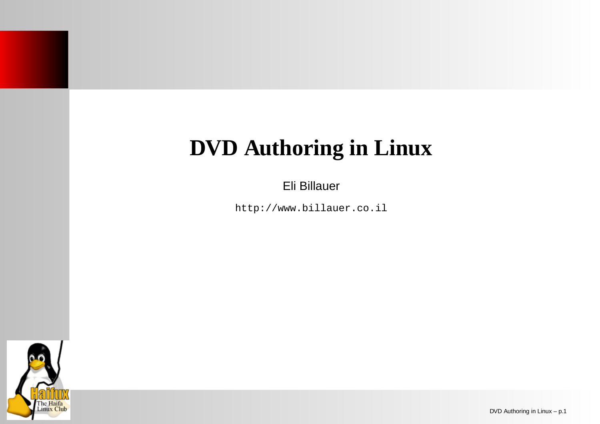# **DVD Authoring in Linux**

Eli Billauer

http://www.billauer.co.il

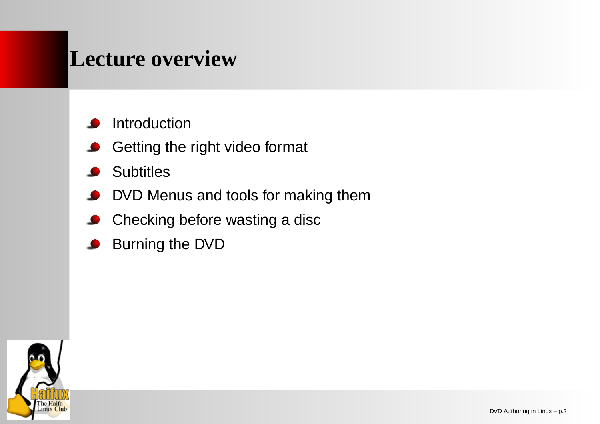#### **Lecture overview**

Introduction

- Getting the right video format
- **Subtitles**
- DVD Menus and tools for making them
- Checking before wasting <sup>a</sup> disc  $\bullet$
- Burning the DVD  $\bullet$

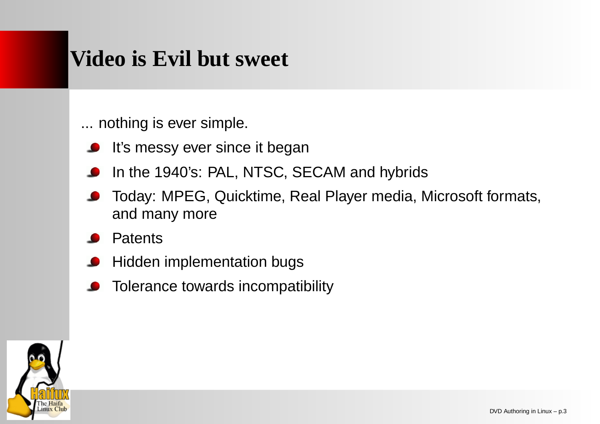### **Video is Evil but sweet**

... nothing is ever simple.

- It's messy ever since it began
- In the 1940's: PAL, NTSC, SECAM and hybrids
- Today: MPEG, Quicktime, Real Player media, Microsoft formats, and many more
- **Patents**
- Hidden implementation bugs
- Tolerance towards incompatibility

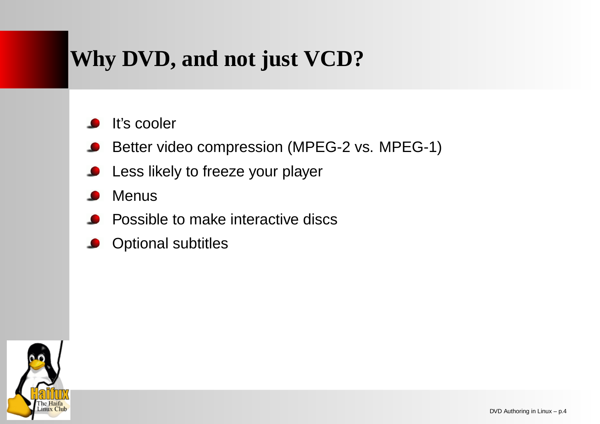## **Why DVD, and not just VCD?**

It's cooler

Better video compression (MPEG-2 vs. MPEG-1)

- Less likely to freeze your player
- Menus
- Possible to make interactive discs
- Optional subtitles

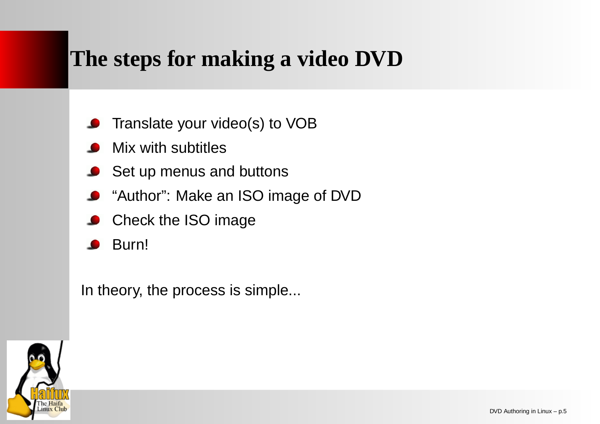## **The steps for making <sup>a</sup> video DVD**

- Translate your video(s) to VOB
- Mix with subtitles
- **Set up menus and buttons**
- "Author": Make an ISO image of DVD
- Check the ISO image
- Burn!

In theory, the process is simple...

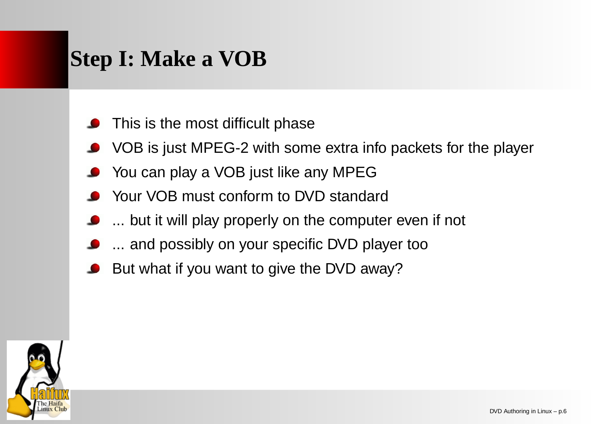## **Step I: Make <sup>a</sup> VOB**

- This is the most difficult phase
- VOB is just MPEG-2 with some extra info packets for the player
- You can play <sup>a</sup> VOB just like any MPEG
- Your VOB must conform to DVD standard
- ... but it will play properly on the computer even if not
- ... and possibly on your specific DVD player too
- But what if you want to give the DVD away?

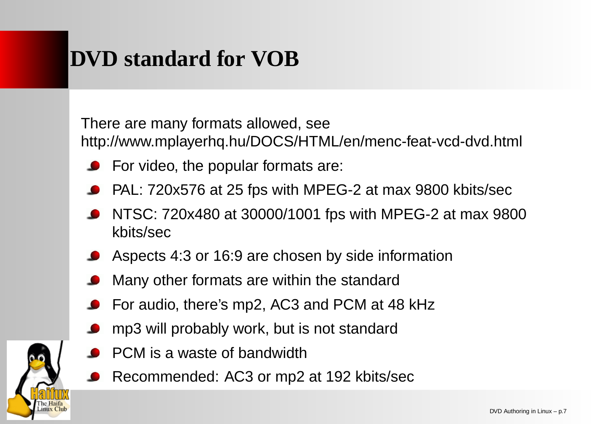# **DVD standard for VOB**

There are many formats allowed, see http://www.mplayerhq.hu/DOCS/HTML/en/menc-feat-vcd-dvd.html

- For video, the popular formats are:
- PAL: 720x576 at 25 fps with MPEG-2 at max 9800 kbits/sec
- NTSC: 720x480 at 30000/1001 fps with MPEG-2 at max 9800 kbits/sec
- Aspects 4:3 or 16:9 are chosen by side information
- Many other formats are within the standard
- For audio, there's mp2, AC3 and PCM at 48 kHz
- mp3 will probably work, but is not standard
- PCM is a waste of bandwidth

Linux Club

Recommended: AC3 or mp2 at 192 kbits/sec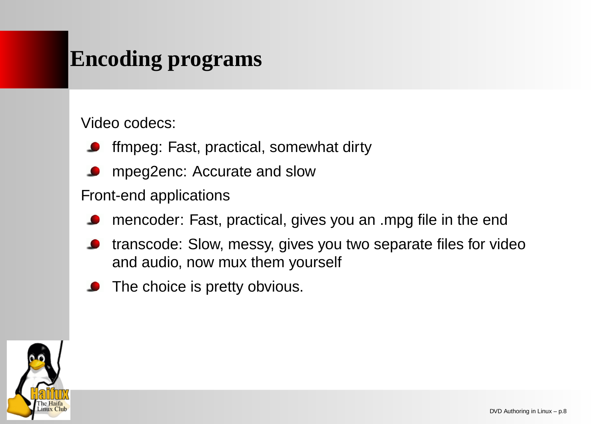## **Encoding programs**

Video codecs:

- ffmpeg: Fast, practical, somewhat dirty
- mpeg2enc: Accurate and slow

#### Front-end applications

- mencoder: Fast, practical, gives you an .mpg file in the end
- transcode: Slow, messy, gives you two separate files for video and audio, now mux them yourself
- The choice is pretty obvious.

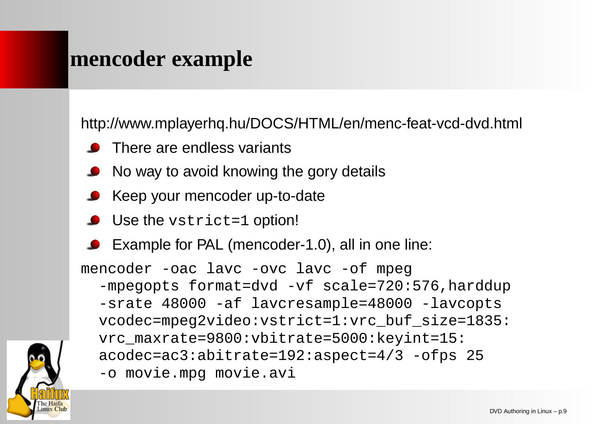#### **mencoder example**

http://www.mplayerhq.hu/DOCS/HTML/en/menc-feat-vcd-dvd.html

- There are endless variants
- No way to avoid knowing the gory details
- **Keep your mencoder up-to-date**
- Use the vstrict=1 option!
- Example for PAL (mencoder-1.0), all in one line:

mencoder -oac lavc -ovc lavc -of mpeg -mpegopts format=dvd -vf scale=720:576,harddup -srate 48000 -af lavcresample=48000 -lavcopts vcodec=mpeg2video:vstrict=1:vrc\_buf\_size=1835: vrc\_maxrate=9800:vbitrate=5000:keyint=15: acodec=ac3:abitrate=192:aspect=4/3 -ofps 25 -o movie.mpg movie.avi

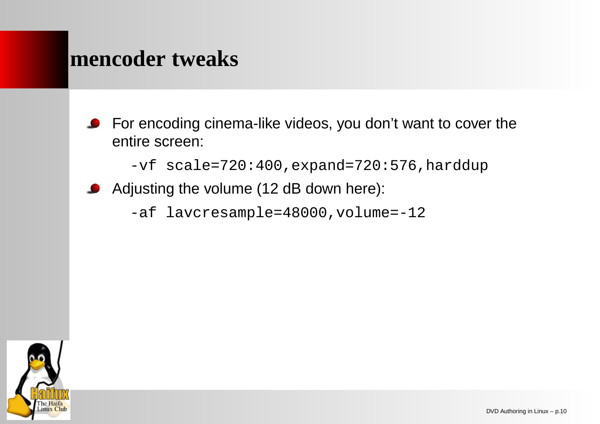#### **mencoder tweaks**

For encoding cinema-like videos, you don't want to cover the  $\bullet$ entire screen:

-vf scale=720:400,expand=720:576,harddup

Adjusting the volume (12 dB down here):

-af lavcresample=48000,volume=-12

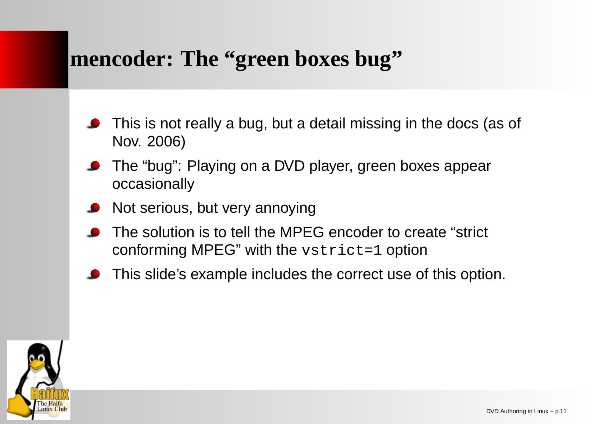#### **mencoder: The "green boxes bug"**

- This is not really <sup>a</sup> bug, but <sup>a</sup> detail missing in the docs (as of Nov. 2006)
- The "bug": Playing on <sup>a</sup> DVD player, green boxes appear occasionally
- Not serious, but very annoying
- The solution is to tell the MPEG encoder to create "strict conforming MPEG" with the vstrict=1 option
- This slide's example includes the correct use of this option.

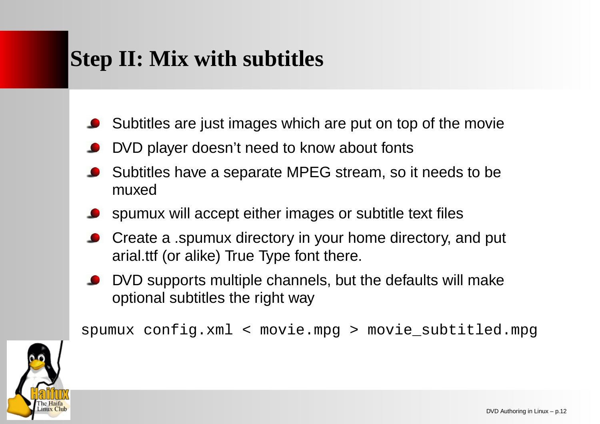# **Step II: Mix with subtitles**

- Subtitles are just images which are put on top of the movie
- DVD player doesn't need to know about fonts
- Subtitles have <sup>a</sup> separate MPEG stream, so it needs to be muxed
- spumux will accept either images or subtitle text files
- Create <sup>a</sup> .spumux directory in your home directory, and put arial.ttf (or alike) True Type font there.
- DVD supports multiple channels, but the defaults will make optional subtitles the right way

spumux config.xml <sup>&</sup>lt; movie.mpg <sup>&</sup>gt; movie\_subtitled.mpg

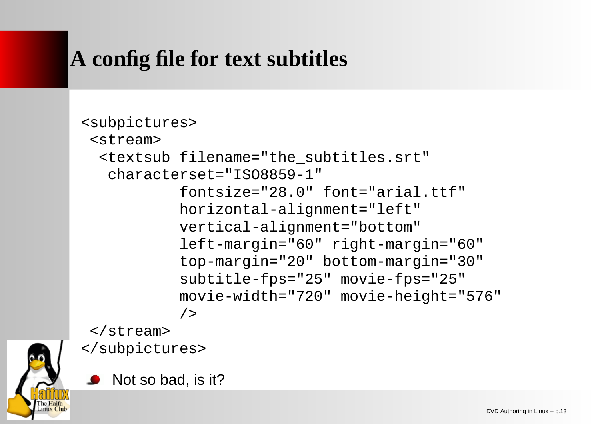# **A config file for text subtitles**

#### <subpictures> <stream><textsub filename="the\_subtitles.srt" characterset="ISO8859-1"fontsize="28.0" font="arial.ttf" horizontal-alignment="left" vertical-alignment="bottom" left-margin="60" right-margin="60" top-margin="20" bottom-margin="30" subtitle-fps="25" movie-fps="25" movie-width="720" movie-height="576" />

</stream>



</subpictures>

Not so bad, is it?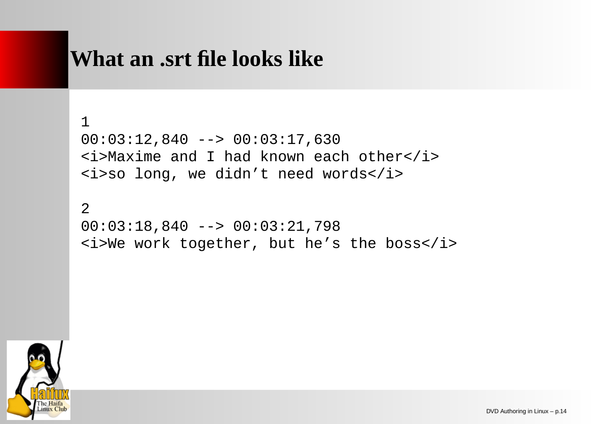#### **What an .srt file looks like**

```
100:03:12,840 --> 00:03:17,630
<i>Maxime and I had known each other</i>
<i>so long, we didn't need words</i>
```

```
200:03:18,840 --> 00:03:21,798
<i>We work together, but he's the boss</i>
```
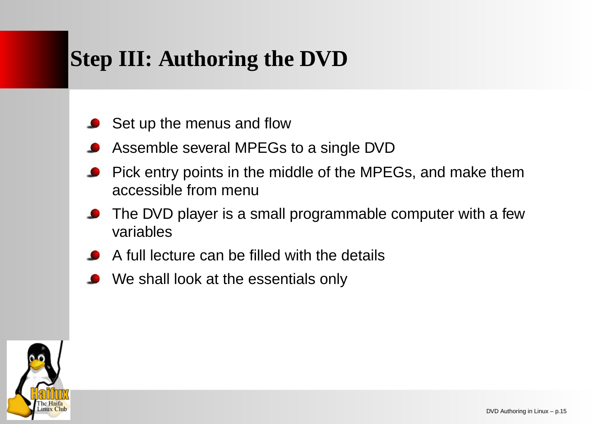# **Step III: Authoring the DVD**

- Set up the menus and flow
- Assemble several MPEGs to <sup>a</sup> single DVD
- Pick entry points in the middle of the MPEGs, and make them accessible from menu
- The DVD player is <sup>a</sup> small programmable computer with <sup>a</sup> few variables
- A full lecture can be filled with the details
- We shall look at the essentials only

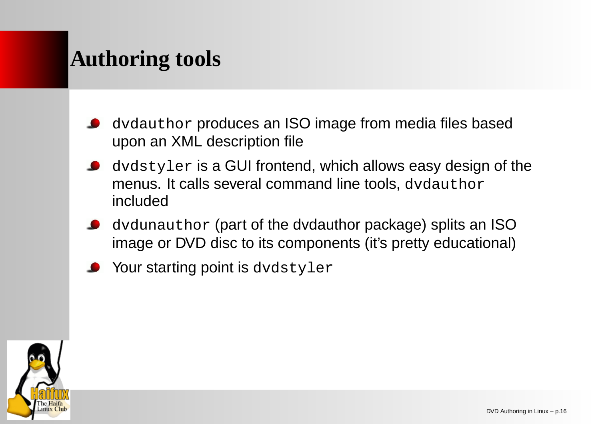## **Authoring tools**

- dvdauthor produces an ISO image from media files based upon an XML description file
- dvdstyler is <sup>a</sup> GUI frontend, which allows easy design of the menus. It calls several command line tools,  $\operatorname{dvdauthor}$ included
- dvdunauthor (part of the dvdauthor package) splits an ISO image or DVD disc to its components (it's pretty educational)
- Your starting point is dvdstyler

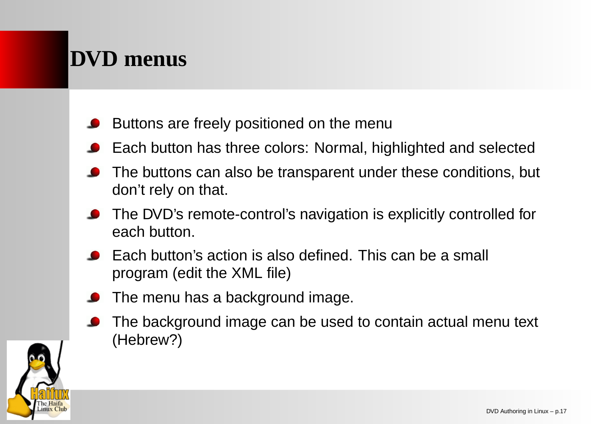# **DVD menus**

- Buttons are freely positioned on the menu
- Each button has three colors: Normal, highlighted and selected
- The buttons can also be transparent under these conditions, but don't rely on that.
- The DVD's remote-control's navigation is explicitly controlled for each button.
- Each button's action is also defined. This can be a small program (edit the XML file)
- The menu has <sup>a</sup> background image.
- The background image can be used to contain actual menu text (Hebrew?)

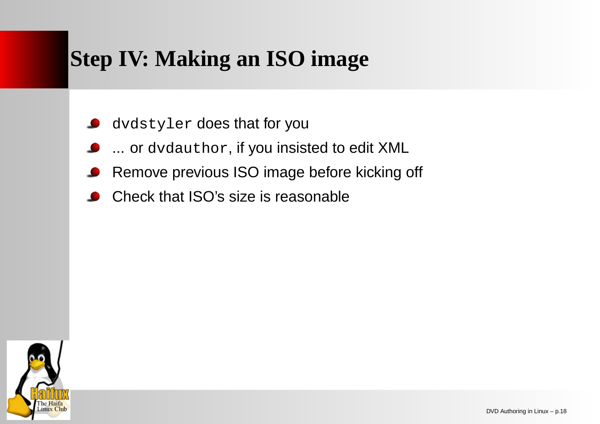# **Step IV: Making an ISO image**

- dvdstyler does that for you
- ... or dvdauthor, if you insisted to edit XML
- Remove previous ISO image before kicking off
- Check that ISO's size is reasonable

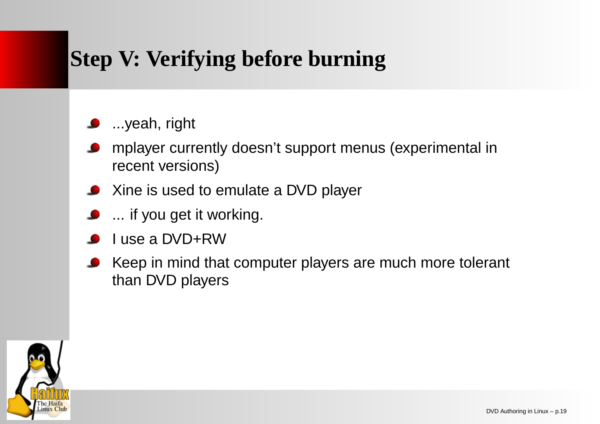# **Step V: Verifying before burning**

- **D** ...yeah, right
- mplayer currently doesn't support menus (experimental in recent versions)
- Xine is used to emulate a DVD player
- ... if you get it working.
- use a DVD+RW
- Keep in mind that computer players are much more tolerant than DVD players

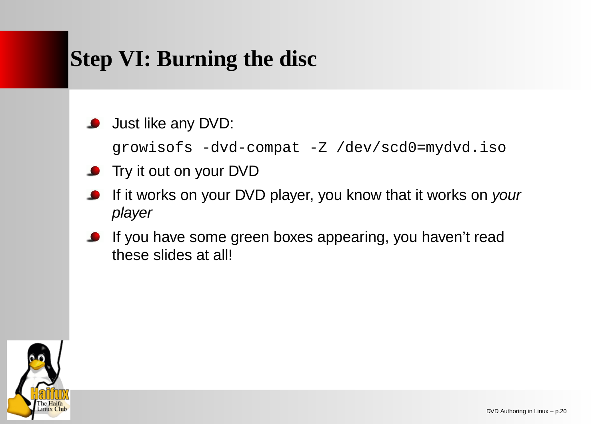# **Step VI: Burning the disc**

#### Just like any DVD:

growisofs -dvd-compat -Z /dev/scd0=mydvd.iso

- **O** Try it out on your DVD
- If it works on your DVD player, you know that it works on *your* player
- If you have some green boxes appearing, you haven't read these slides at all!

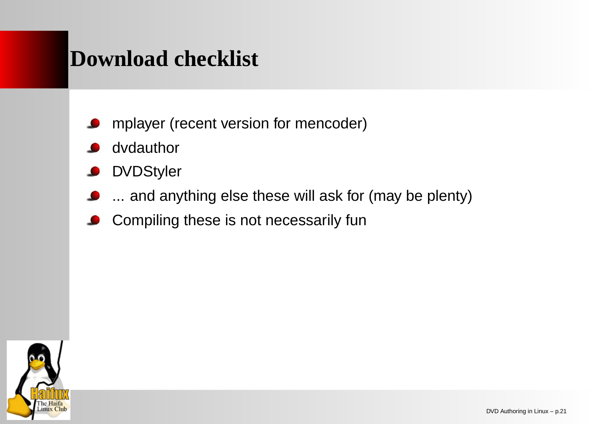#### **Download checklist**

- mplayer (recent version for mencoder)
- dvdauthor
- **DVDStyler**
- ... and anything else these will ask for (may be plenty)
- Compiling these is not necessarily fun  $\bullet$